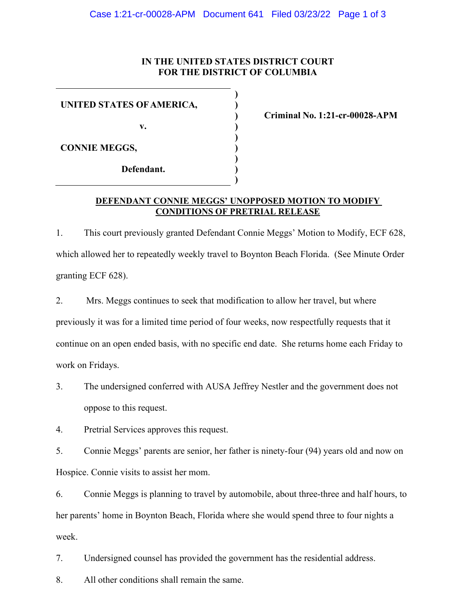## **IN THE UNITED STATES DISTRICT COURT FOR THE DISTRICT OF COLUMBIA**

**) ) ) ) ) ) ) ) )**

**UNITED STATES OFAMERICA,**

**v.** 

**CONNIE MEGGS,**

**Defendant.**

**Criminal No. 1:21-cr-00028-APM**

## **DEFENDANT CONNIE MEGGS' UNOPPOSED MOTION TO MODIFY CONDITIONS OF PRETRIAL RELEASE**

1. This court previously granted Defendant Connie Meggs' Motion to Modify, ECF 628, which allowed her to repeatedly weekly travel to Boynton Beach Florida. (See Minute Order granting ECF 628).

2. Mrs. Meggs continues to seek that modification to allow her travel, but where previously it was for a limited time period of four weeks, now respectfully requests that it continue on an open ended basis, with no specific end date. She returns home each Friday to

work on Fridays.

3. The undersigned conferred with AUSA Jeffrey Nestler and the government does not oppose to this request.

4. Pretrial Services approves this request.

5. Connie Meggs' parents are senior, her father is ninety-four (94) years old and now on Hospice. Connie visits to assist her mom.

6. Connie Meggs is planning to travel by automobile, about three-three and half hours, to her parents' home in Boynton Beach, Florida where she would spend three to four nights a week.

7. Undersigned counsel has provided the government has the residential address.

8. All other conditions shall remain the same.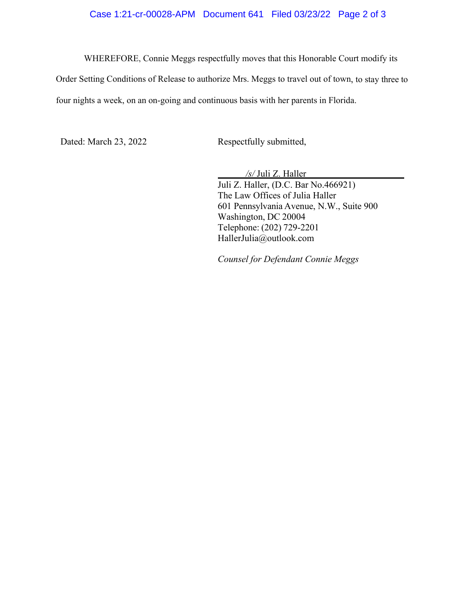## Case 1:21-cr-00028-APM Document 641 Filed 03/23/22 Page 2 of 3

WHEREFORE, Connie Meggs respectfully moves that this Honorable Court modify its

Order Setting Conditions of Release to authorize Mrs. Meggs to travel out of town, to stay three to four nights a week, on an on-going and continuous basis with her parents in Florida.

Dated: March 23, 2022 Respectfully submitted,

 */s/* Juli Z. Haller Juli Z. Haller, (D.C. Bar No.466921) The Law Offices of Julia Haller 601 Pennsylvania Avenue, N.W., Suite 900 Washington, DC 20004 Telephone: (202) 729-2201 [HallerJulia@outlook.com](mailto:HallerJulia@outlook.com)

*Counsel for Defendant Connie Meggs*